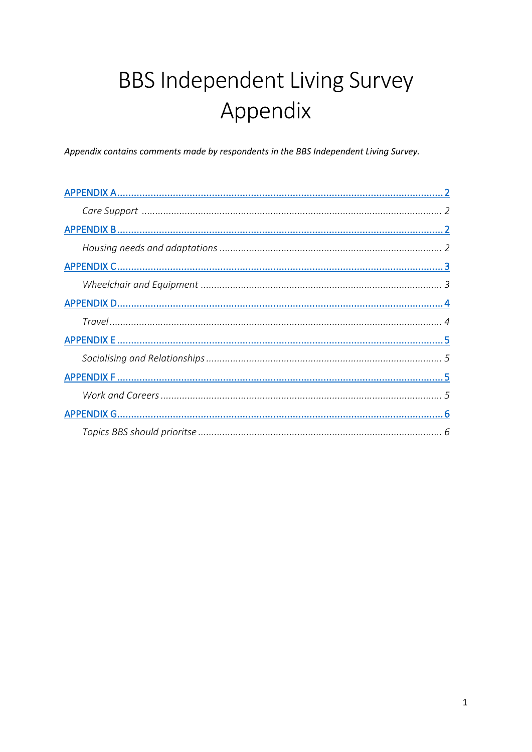# **BBS Independent Living Survey** Appendix

Appendix contains comments made by respondents in the BBS Independent Living Survey.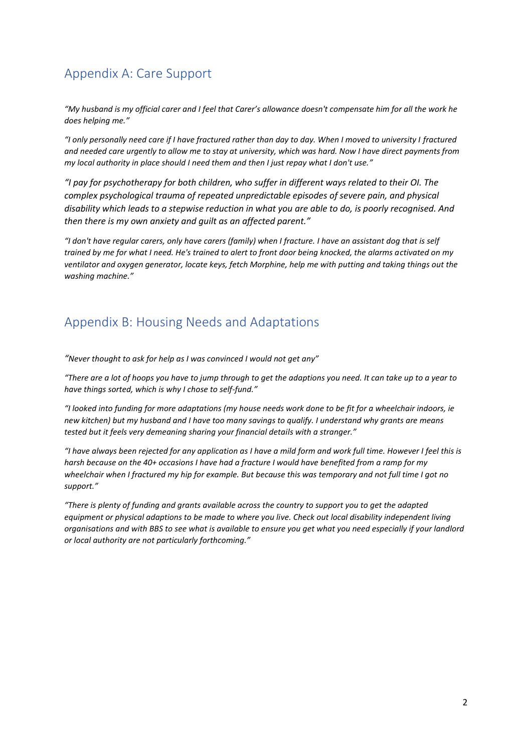# <span id="page-1-0"></span>Appendix A: Care Support

*"My husband is my official carer and I feel that Carer's allowance doesn't compensate him for all the work he does helping me."* 

*"I only personally need care if I have fractured rather than day to day. When I moved to university I fractured and needed care urgently to allow me to stay at university, which was hard. Now I have direct payments from my local authority in place should I need them and then I just repay what I don't use."* 

*"I pay for psychotherapy for both children, who suffer in different ways related to their OI. The complex psychological trauma of repeated unpredictable episodes of severe pain, and physical disability which leads to a stepwise reduction in what you are able to do, is poorly recognised. And then there is my own anxiety and guilt as an affected parent."*

*"I don't have regular carers, only have carers (family) when I fracture. I have an assistant dog that is self trained by me for what I need. He's trained to alert to front door being knocked, the alarms activated on my ventilator and oxygen generator, locate keys, fetch Morphine, help me with putting and taking things out the washing machine."* 

### <span id="page-1-1"></span>Appendix B: Housing Needs and Adaptations

*"Never thought to ask for help as I was convinced I would not get any"* 

*"There are a lot of hoops you have to jump through to get the adaptions you need. It can take up to a year to have things sorted, which is why I chose to self-fund."* 

*"I looked into funding for more adaptations (my house needs work done to be fit for a wheelchair indoors, ie new kitchen) but my husband and I have too many savings to qualify. I understand why grants are means tested but it feels very demeaning sharing your financial details with a stranger."* 

*"I have always been rejected for any application as I have a mild form and work full time. However I feel this is harsh because on the 40+ occasions I have had a fracture I would have benefited from a ramp for my wheelchair when I fractured my hip for example. But because this was temporary and not full time I got no support."* 

*"There is plenty of funding and grants available across the country to support you to get the adapted equipment or physical adaptions to be made to where you live. Check out local disability independent living organisations and with BBS to see what is available to ensure you get what you need especially if your landlord or local authority are not particularly forthcoming."*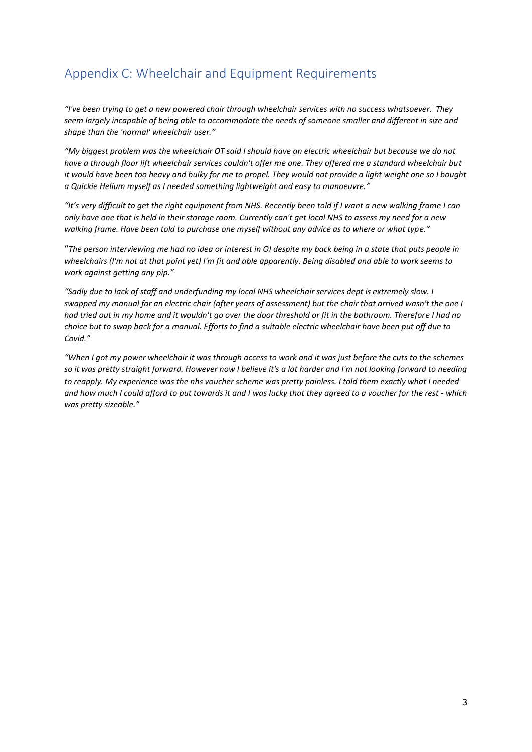# <span id="page-2-0"></span>Appendix C: Wheelchair and Equipment Requirements

*"I've been trying to get a new powered chair through wheelchair services with no success whatsoever. They seem largely incapable of being able to accommodate the needs of someone smaller and different in size and shape than the 'normal' wheelchair user."* 

*"My biggest problem was the wheelchair OT said I should have an electric wheelchair but because we do not have a through floor lift wheelchair services couldn't offer me one. They offered me a standard wheelchair but it would have been too heavy and bulky for me to propel. They would not provide a light weight one so I bought a Quickie Helium myself as I needed something lightweight and easy to manoeuvre."* 

*"It's very difficult to get the right equipment from NHS. Recently been told if I want a new walking frame I can only have one that is held in their storage room. Currently can't get local NHS to assess my need for a new walking frame. Have been told to purchase one myself without any advice as to where or what type."* 

"*The person interviewing me had no idea or interest in OI despite my back being in a state that puts people in wheelchairs (I'm not at that point yet) I'm fit and able apparently. Being disabled and able to work seems to work against getting any pip."*

*"Sadly due to lack of staff and underfunding my local NHS wheelchair services dept is extremely slow. I swapped my manual for an electric chair (after years of assessment) but the chair that arrived wasn't the one I had tried out in my home and it wouldn't go over the door threshold or fit in the bathroom. Therefore I had no choice but to swap back for a manual. Efforts to find a suitable electric wheelchair have been put off due to Covid."* 

*"When I got my power wheelchair it was through access to work and it was just before the cuts to the schemes*  so it was pretty straight forward. However now I believe it's a lot harder and I'm not looking forward to needing *to reapply. My experience was the nhs voucher scheme was pretty painless. I told them exactly what I needed and how much I could afford to put towards it and I was lucky that they agreed to a voucher for the rest - which was pretty sizeable."*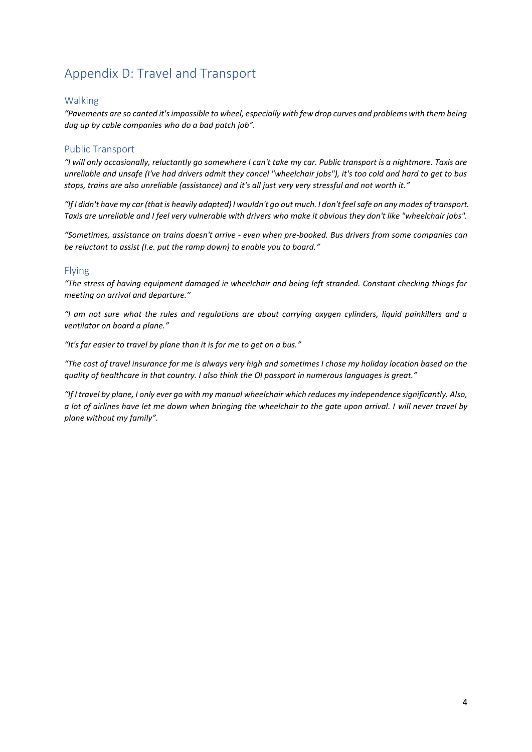# <span id="page-3-0"></span>Appendix D: Travel and Transport

#### Walking

*"Pavements are so canted it's impossible to wheel, especially with few drop curves and problems with them being dug up by cable companies who do a bad patch job".* 

#### Public Transport

*"I will only occasionally, reluctantly go somewhere I can't take my car. Public transport is a nightmare. Taxis are unreliable and unsafe (I've had drivers admit they cancel "wheelchair jobs"), it's too cold and hard to get to bus stops, trains are also unreliable (assistance) and it's all just very very stressful and not worth it."*

*"If I didn't have my car (that is heavily adapted) I wouldn't go out much. I don't feel safe on any modes of transport. Taxis are unreliable and I feel very vulnerable with drivers who make it obvious they don't like "wheelchair jobs".* 

*"Sometimes, assistance on trains doesn't arrive - even when pre-booked. Bus drivers from some companies can be reluctant to assist (I.e. put the ramp down) to enable you to board."*

#### Flying

*"The stress of having equipment damaged ie wheelchair and being left stranded. Constant checking things for meeting on arrival and departure."*

*"I am not sure what the rules and regulations are about carrying oxygen cylinders, liquid painkillers and a ventilator on board a plane."*

*"It's far easier to travel by plane than it is for me to get on a bus."*

*"The cost of travel insurance for me is always very high and sometimes I chose my holiday location based on the quality of healthcare in that country. I also think the OI passport in numerous languages is great."*

*"If I travel by plane, I only ever go with my manual wheelchair which reduces my independence significantly. Also, a lot of airlines have let me down when bringing the wheelchair to the gate upon arrival. I will never travel by plane without my family".*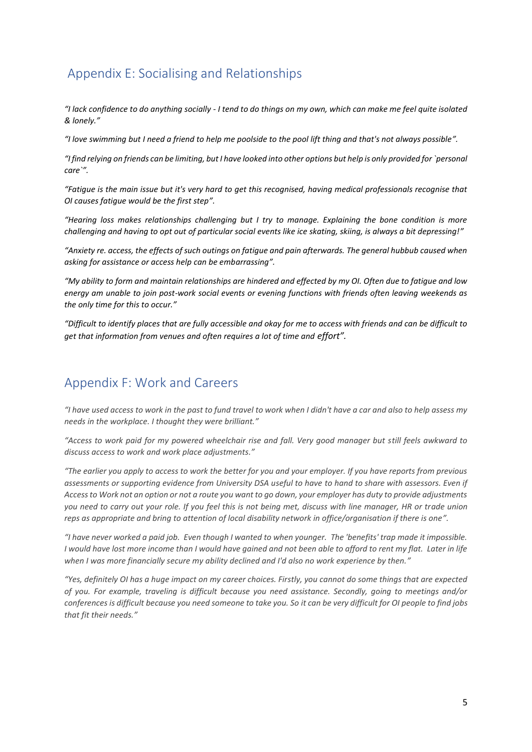## <span id="page-4-0"></span>Appendix E: Socialising and Relationships

*"I lack confidence to do anything socially - I tend to do things on my own, which can make me feel quite isolated & lonely."*

*"I love swimming but I need a friend to help me poolside to the pool lift thing and that's not always possible".* 

*"I find relying on friends can be limiting, but I have looked into other options but help is only provided for `personal care`".* 

*"Fatigue is the main issue but it's very hard to get this recognised, having medical professionals recognise that OI causes fatigue would be the first step".* 

*"Hearing loss makes relationships challenging but I try to manage. Explaining the bone condition is more challenging and having to opt out of particular social events like ice skating, skiing, is always a bit depressing!"*

*"Anxiety re. access, the effects of such outings on fatigue and pain afterwards. The general hubbub caused when asking for assistance or access help can be embarrassing".* 

*"My ability to form and maintain relationships are hindered and effected by my OI. Often due to fatigue and low energy am unable to join post-work social events or evening functions with friends often leaving weekends as the only time for this to occur."*

*"Difficult to identify places that are fully accessible and okay for me to access with friends and can be difficult to get that information from venues and often requires a lot of time and effort".* 

### <span id="page-4-1"></span>Appendix F: Work and Careers

*"I have used access to work in the past to fund travel to work when I didn't have a car and also to help assess my needs in the workplace. I thought they were brilliant."*

*"Access to work paid for my powered wheelchair rise and fall. Very good manager but still feels awkward to discuss access to work and work place adjustments."*

*"The earlier you apply to access to work the better for you and your employer. If you have reports from previous assessments or supporting evidence from University DSA useful to have to hand to share with assessors. Even if Access to Work not an option or not a route you want to go down, your employer has duty to provide adjustments you need to carry out your role. If you feel this is not being met, discuss with line manager, HR or trade union reps as appropriate and bring to attention of local disability network in office/organisation if there is one".* 

*"I have never worked a paid job. Even though I wanted to when younger. The 'benefits' trap made it impossible. I would have lost more income than I would have gained and not been able to afford to rent my flat. Later in life when I was more financially secure my ability declined and I'd also no work experience by then."*

*"Yes, definitely OI has a huge impact on my career choices. Firstly, you cannot do some things that are expected of you. For example, traveling is difficult because you need assistance. Secondly, going to meetings and/or conferences is difficult because you need someone to take you. So it can be very difficult for OI people to find jobs that fit their needs."*